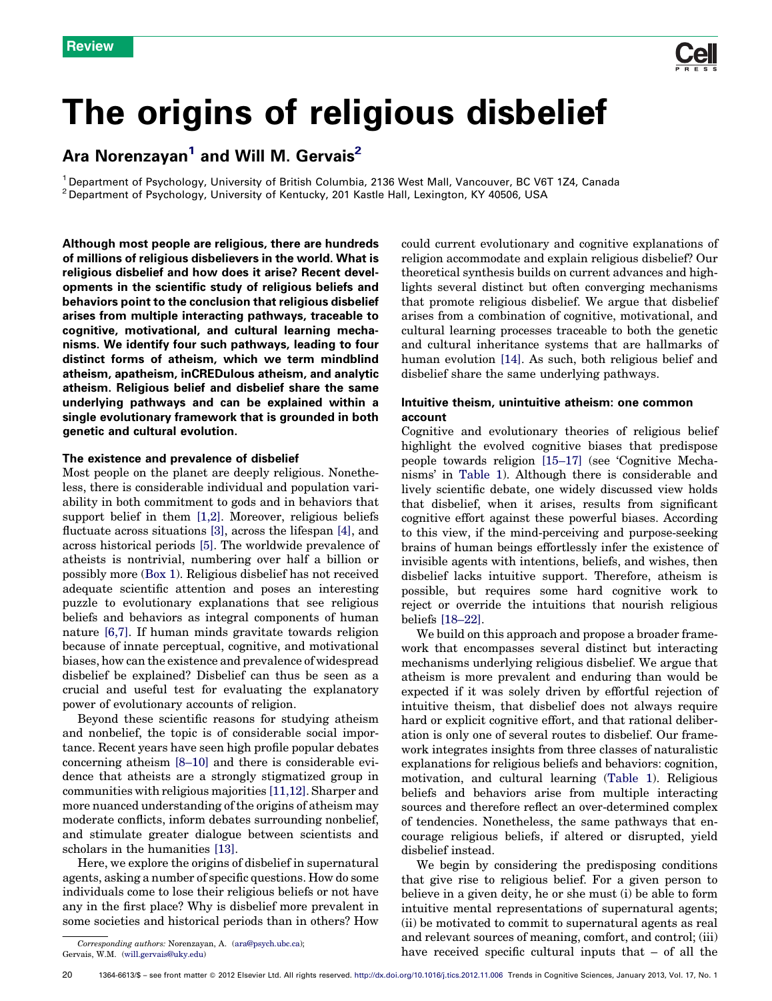

# The origins of religious disbelief

# Ara Norenzayan<sup>1</sup> and Will M. Gervais<sup>2</sup>

<sup>1</sup> Department of Psychology, University of British Columbia, 2136 West Mall, Vancouver, BC V6T 1Z4, Canada <sup>2</sup> Department of Psychology, University of Kentucky, 201 Kastle Hall, Lexington, KY 40506, USA

Although most people are religious, there are hundreds of millions of religious disbelievers in the world. What is religious disbelief and how does it arise? Recent developments in the scientific study of religious beliefs and behaviors point to the conclusion that religious disbelief arises from multiple interacting pathways, traceable to cognitive, motivational, and cultural learning mechanisms. We identify four such pathways, leading to four distinct forms of atheism, which we term mindblind atheism, apatheism, inCREDulous atheism, and analytic atheism. Religious belief and disbelief share the same underlying pathways and can be explained within a single evolutionary framework that is grounded in both genetic and cultural evolution.

#### The existence and prevalence of disbelief

Most people on the planet are deeply religious. Nonetheless, there is considerable individual and population variability in both commitment to gods and in behaviors that support belief in them [\[1,2\]](#page-4-0). Moreover, religious beliefs fluctuate across situations [\[3\]](#page-4-0), across the lifespan [\[4\],](#page-4-0) and across historical periods [\[5\].](#page-4-0) The worldwide prevalence of atheists is nontrivial, numbering over half a billion or possibly more [\(Box](#page-1-0) 1). Religious disbelief has not received adequate scientific attention and poses an interesting puzzle to evolutionary explanations that see religious beliefs and behaviors as integral components of human nature [\[6,7\].](#page-4-0) If human minds gravitate towards religion because of innate perceptual, cognitive, and motivational biases, how can the existence and prevalence of widespread disbelief be explained? Disbelief can thus be seen as a crucial and useful test for evaluating the explanatory power of evolutionary accounts of religion.

Beyond these scientific reasons for studying atheism and nonbelief, the topic is of considerable social importance. Recent years have seen high profile popular debates concerning atheism [\[8–10\]](#page-4-0) and there is considerable evidence that atheists are a strongly stigmatized group in communities with religious majorities [\[11,12\].](#page-4-0) Sharper and more nuanced understanding of the origins of atheism may moderate conflicts, inform debates surrounding nonbelief, and stimulate greater dialogue between scientists and scholars in the humanities [\[13\]](#page-4-0).

Here, we explore the origins of disbelief in supernatural agents, asking a number of specific questions. How do some individuals come to lose their religious beliefs or not have any in the first place? Why is disbelief more prevalent in some societies and historical periods than in others? How

could current evolutionary and cognitive explanations of religion accommodate and explain religious disbelief? Our theoretical synthesis builds on current advances and highlights several distinct but often converging mechanisms that promote religious disbelief. We argue that disbelief arises from a combination of cognitive, motivational, and cultural learning processes traceable to both the genetic and cultural inheritance systems that are hallmarks of human evolution [\[14\].](#page-4-0) As such, both religious belief and disbelief share the same underlying pathways.

# Intuitive theism, unintuitive atheism: one common account

Cognitive and evolutionary theories of religious belief highlight the evolved cognitive biases that predispose people towards religion [\[15–17\]](#page-4-0) (see 'Cognitive Mechanisms' in [Table](#page-2-0) 1). Although there is considerable and lively scientific debate, one widely discussed view holds that disbelief, when it arises, results from significant cognitive effort against these powerful biases. According to this view, if the mind-perceiving and purpose-seeking brains of human beings effortlessly infer the existence of invisible agents with intentions, beliefs, and wishes, then disbelief lacks intuitive support. Therefore, atheism is possible, but requires some hard cognitive work to reject or override the intuitions that nourish religious beliefs [\[18–22\].](#page-4-0)

We build on this approach and propose a broader framework that encompasses several distinct but interacting mechanisms underlying religious disbelief. We argue that atheism is more prevalent and enduring than would be expected if it was solely driven by effortful rejection of intuitive theism, that disbelief does not always require hard or explicit cognitive effort, and that rational deliberation is only one of several routes to disbelief. Our framework integrates insights from three classes of naturalistic explanations for religious beliefs and behaviors: cognition, motivation, and cultural learning [\(Table](#page-2-0) 1). Religious beliefs and behaviors arise from multiple interacting sources and therefore reflect an over-determined complex of tendencies. Nonetheless, the same pathways that encourage religious beliefs, if altered or disrupted, yield disbelief instead.

We begin by considering the predisposing conditions that give rise to religious belief. For a given person to believe in a given deity, he or she must (i) be able to form intuitive mental representations of supernatural agents; (ii) be motivated to commit to supernatural agents as real and relevant sources of meaning, comfort, and control; (iii) have received specific cultural inputs that – of all the

Corresponding authors: Norenzayan, A. [\(ara@psych.ubc.ca\)](mailto:ara@psych.ubc.ca); Gervais, W.M. ([will.gervais@uky.edu\)](mailto:will.gervais@uky.edu)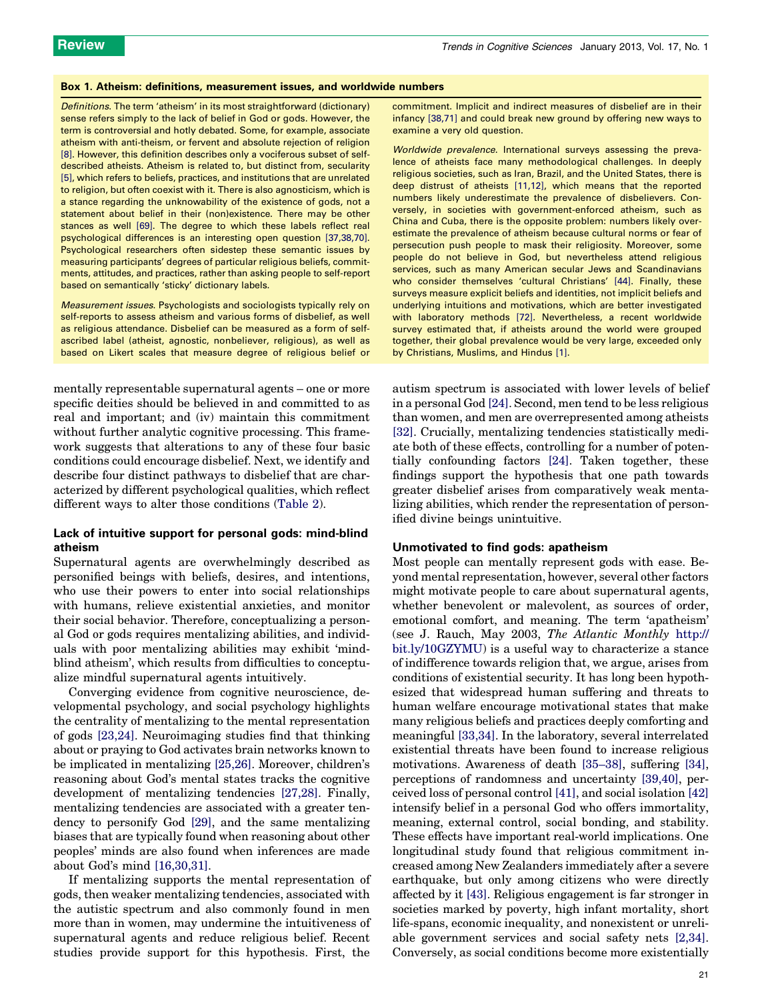## <span id="page-1-0"></span>Box 1. Atheism: definitions, measurement issues, and worldwide numbers

Definitions. The term 'atheism' in its most straightforward (dictionary) sense refers simply to the lack of belief in God or gods. However, the term is controversial and hotly debated. Some, for example, associate atheism with anti-theism, or fervent and absolute rejection of religion [\[8\]](#page-4-0). However, this definition describes only a vociferous subset of selfdescribed atheists. Atheism is related to, but distinct from, secularity [\[5\]](#page-4-0), which refers to beliefs, practices, and institutions that are unrelated to religion, but often coexist with it. There is also agnosticism, which is a stance regarding the unknowability of the existence of gods, not a statement about belief in their (non)existence. There may be other stances as well [\[69\]](#page-5-0). The degree to which these labels reflect real psychological differences is an interesting open question [\[37,38,70\]](#page-5-0). Psychological researchers often sidestep these semantic issues by measuring participants' degrees of particular religious beliefs, commitments, attitudes, and practices, rather than asking people to self-report based on semantically 'sticky' dictionary labels.

Measurement issues. Psychologists and sociologists typically rely on self-reports to assess atheism and various forms of disbelief, as well as religious attendance. Disbelief can be measured as a form of selfascribed label (atheist, agnostic, nonbeliever, religious), as well as based on Likert scales that measure degree of religious belief or

mentally representable supernatural agents – one or more specific deities should be believed in and committed to as real and important; and (iv) maintain this commitment without further analytic cognitive processing. This framework suggests that alterations to any of these four basic conditions could encourage disbelief. Next, we identify and describe four distinct pathways to disbelief that are characterized by different psychological qualities, which reflect different ways to alter those conditions [\(Table](#page-3-0) 2).

## Lack of intuitive support for personal gods: mind-blind atheism

Supernatural agents are overwhelmingly described as personified beings with beliefs, desires, and intentions, who use their powers to enter into social relationships with humans, relieve existential anxieties, and monitor their social behavior. Therefore, conceptualizing a personal God or gods requires mentalizing abilities, and individuals with poor mentalizing abilities may exhibit 'mindblind atheism', which results from difficulties to conceptualize mindful supernatural agents intuitively.

Converging evidence from cognitive neuroscience, developmental psychology, and social psychology highlights the centrality of mentalizing to the mental representation of gods [\[23,24\].](#page-4-0) Neuroimaging studies find that thinking about or praying to God activates brain networks known to be implicated in mentalizing [\[25,26\].](#page-4-0) Moreover, children's reasoning about God's mental states tracks the cognitive development of mentalizing tendencies [\[27,28\].](#page-4-0) Finally, mentalizing tendencies are associated with a greater tendency to personify God [\[29\]](#page-4-0), and the same mentalizing biases that are typically found when reasoning about other peoples' minds are also found when inferences are made about God's mind [\[16,30,31\]](#page-4-0).

If mentalizing supports the mental representation of gods, then weaker mentalizing tendencies, associated with the autistic spectrum and also commonly found in men more than in women, may undermine the intuitiveness of supernatural agents and reduce religious belief. Recent studies provide support for this hypothesis. First, the

commitment. Implicit and indirect measures of disbelief are in their infancy [\[38,71\]](#page-5-0) and could break new ground by offering new ways to examine a very old question.

Worldwide prevalence. International surveys assessing the prevalence of atheists face many methodological challenges. In deeply religious societies, such as Iran, Brazil, and the United States, there is deep distrust of atheists [\[11,12\],](#page-4-0) which means that the reported numbers likely underestimate the prevalence of disbelievers. Conversely, in societies with government-enforced atheism, such as China and Cuba, there is the opposite problem: numbers likely overestimate the prevalence of atheism because cultural norms or fear of persecution push people to mask their religiosity. Moreover, some people do not believe in God, but nevertheless attend religious services, such as many American secular Jews and Scandinavians who consider themselves 'cultural Christians' [\[44\].](#page-5-0) Finally, these surveys measure explicit beliefs and identities, not implicit beliefs and underlying intuitions and motivations, which are better investigated with laboratory methods [\[72\]](#page-5-0). Nevertheless, a recent worldwide survey estimated that, if atheists around the world were grouped together, their global prevalence would be very large, exceeded only by Christians, Muslims, and Hindus [\[1\]](#page-4-0).

autism spectrum is associated with lower levels of belief in a personal God [\[24\].](#page-4-0) Second, men tend to be less religious than women, and men are overrepresented among atheists [\[32\]](#page-4-0). Crucially, mentalizing tendencies statistically mediate both of these effects, controlling for a number of potentially confounding factors [\[24\].](#page-4-0) Taken together, these findings support the hypothesis that one path towards greater disbelief arises from comparatively weak mentalizing abilities, which render the representation of personified divine beings unintuitive.

#### Unmotivated to find gods: apatheism

Most people can mentally represent gods with ease. Beyond mental representation, however, several other factors might motivate people to care about supernatural agents, whether benevolent or malevolent, as sources of order, emotional comfort, and meaning. The term 'apatheism' (see J. Rauch, May 2003, The Atlantic Monthly [http://](http://bit.ly/10GZYMU) [bit.ly/10GZYMU](http://bit.ly/10GZYMU)) is a useful way to characterize a stance of indifference towards religion that, we argue, arises from conditions of existential security. It has long been hypothesized that widespread human suffering and threats to human welfare encourage motivational states that make many religious beliefs and practices deeply comforting and meaningful [\[33,34\]](#page-4-0). In the laboratory, several interrelated existential threats have been found to increase religious motivations. Awareness of death [\[35–38\],](#page-5-0) suffering [\[34\]](#page-5-0), perceptions of randomness and uncertainty [\[39,40\],](#page-5-0) perceived loss of personal control [\[41\]](#page-5-0), and social isolation [\[42\]](#page-5-0) intensify belief in a personal God who offers immortality, meaning, external control, social bonding, and stability. These effects have important real-world implications. One longitudinal study found that religious commitment increased among New Zealanders immediately after a severe earthquake, but only among citizens who were directly affected by it [\[43\].](#page-5-0) Religious engagement is far stronger in societies marked by poverty, high infant mortality, short life-spans, economic inequality, and nonexistent or unreliable government services and social safety nets [\[2,34\]](#page-4-0). Conversely, as social conditions become more existentially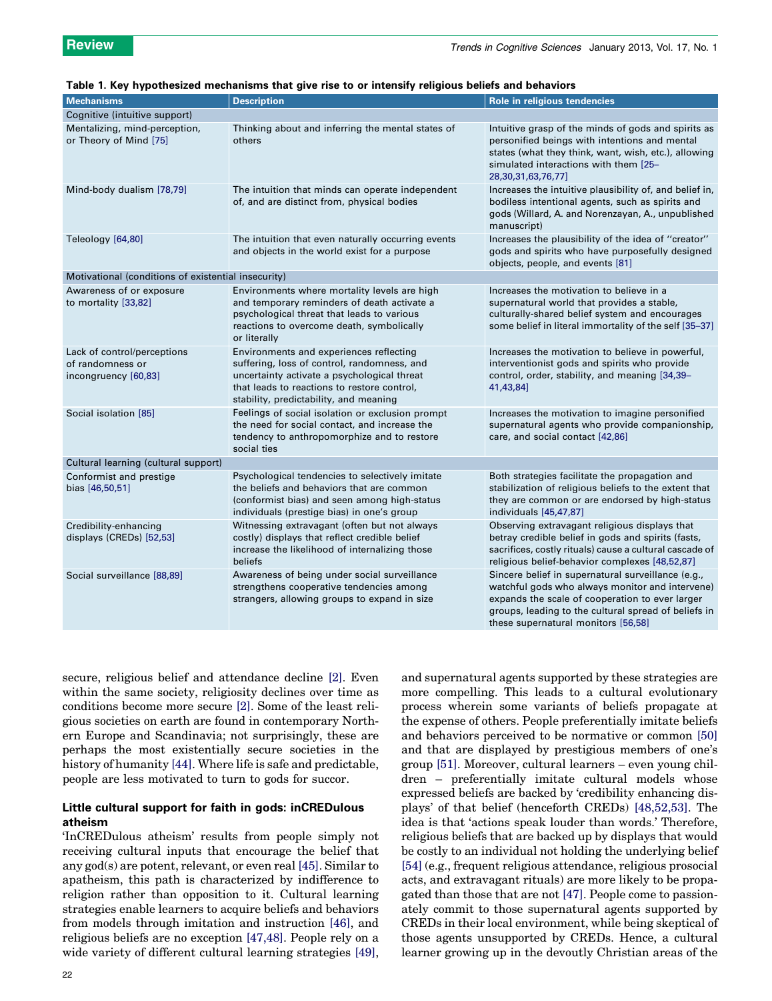| <b>Mechanisms</b>                                                       | <b>Description</b>                                                                                                                                                                                                             | Role in religious tendencies                                                                                                                                                                                                                            |  |  |  |  |  |
|-------------------------------------------------------------------------|--------------------------------------------------------------------------------------------------------------------------------------------------------------------------------------------------------------------------------|---------------------------------------------------------------------------------------------------------------------------------------------------------------------------------------------------------------------------------------------------------|--|--|--|--|--|
| Cognitive (intuitive support)                                           |                                                                                                                                                                                                                                |                                                                                                                                                                                                                                                         |  |  |  |  |  |
| Mentalizing, mind-perception,<br>or Theory of Mind [75]                 | Thinking about and inferring the mental states of<br>others                                                                                                                                                                    | Intuitive grasp of the minds of gods and spirits as<br>personified beings with intentions and mental<br>states (what they think, want, wish, etc.), allowing<br>simulated interactions with them [25-<br>28,30,31,63,76,77]                             |  |  |  |  |  |
| Mind-body dualism [78,79]                                               | The intuition that minds can operate independent<br>of, and are distinct from, physical bodies                                                                                                                                 | Increases the intuitive plausibility of, and belief in,<br>bodiless intentional agents, such as spirits and<br>gods (Willard, A. and Norenzayan, A., unpublished<br>manuscript)                                                                         |  |  |  |  |  |
| Teleology [64,80]                                                       | The intuition that even naturally occurring events<br>and objects in the world exist for a purpose                                                                                                                             | Increases the plausibility of the idea of "creator"<br>gods and spirits who have purposefully designed<br>objects, people, and events [81]                                                                                                              |  |  |  |  |  |
| Motivational (conditions of existential insecurity)                     |                                                                                                                                                                                                                                |                                                                                                                                                                                                                                                         |  |  |  |  |  |
| Awareness of or exposure<br>to mortality [33,82]                        | Environments where mortality levels are high<br>and temporary reminders of death activate a<br>psychological threat that leads to various<br>reactions to overcome death, symbolically<br>or literally                         | Increases the motivation to believe in a<br>supernatural world that provides a stable,<br>culturally-shared belief system and encourages<br>some belief in literal immortality of the self [35-37]                                                      |  |  |  |  |  |
| Lack of control/perceptions<br>of randomness or<br>incongruency [60,83] | Environments and experiences reflecting<br>suffering, loss of control, randomness, and<br>uncertainty activate a psychological threat<br>that leads to reactions to restore control,<br>stability, predictability, and meaning | Increases the motivation to believe in powerful,<br>interventionist gods and spirits who provide<br>control, order, stability, and meaning [34,39-<br>41,43,84]                                                                                         |  |  |  |  |  |
| Social isolation [85]                                                   | Feelings of social isolation or exclusion prompt<br>the need for social contact, and increase the<br>tendency to anthropomorphize and to restore<br>social ties                                                                | Increases the motivation to imagine personified<br>supernatural agents who provide companionship,<br>care, and social contact [42,86]                                                                                                                   |  |  |  |  |  |
| Cultural learning (cultural support)                                    |                                                                                                                                                                                                                                |                                                                                                                                                                                                                                                         |  |  |  |  |  |
| Conformist and prestige<br>bias [46,50,51]                              | Psychological tendencies to selectively imitate<br>the beliefs and behaviors that are common<br>(conformist bias) and seen among high-status<br>individuals (prestige bias) in one's group                                     | Both strategies facilitate the propagation and<br>stabilization of religious beliefs to the extent that<br>they are common or are endorsed by high-status<br>individuals [45,47,87]                                                                     |  |  |  |  |  |
| Credibility-enhancing<br>displays (CREDs) [52,53]                       | Witnessing extravagant (often but not always<br>costly) displays that reflect credible belief<br>increase the likelihood of internalizing those<br>beliefs                                                                     | Observing extravagant religious displays that<br>betray credible belief in gods and spirits (fasts,<br>sacrifices, costly rituals) cause a cultural cascade of<br>religious belief-behavior complexes [48,52,87]                                        |  |  |  |  |  |
| Social surveillance [88,89]                                             | Awareness of being under social surveillance<br>strengthens cooperative tendencies among<br>strangers, allowing groups to expand in size                                                                                       | Sincere belief in supernatural surveillance (e.g.,<br>watchful gods who always monitor and intervene)<br>expands the scale of cooperation to ever larger<br>groups, leading to the cultural spread of beliefs in<br>these supernatural monitors [56,58] |  |  |  |  |  |

<span id="page-2-0"></span>

|  |  |  | Table 1. Key hypothesized mechanisms that give rise to or intensify religious beliefs and behaviors |
|--|--|--|-----------------------------------------------------------------------------------------------------|
|  |  |  |                                                                                                     |

secure, religious belief and attendance decline [\[2\].](#page-4-0) Even within the same society, religiosity declines over time as conditions become more secure [\[2\].](#page-4-0) Some of the least religious societies on earth are found in contemporary Northern Europe and Scandinavia; not surprisingly, these are perhaps the most existentially secure societies in the history of humanity [\[44\]](#page-5-0). Where life is safe and predictable, people are less motivated to turn to gods for succor.

# Little cultural support for faith in gods: inCREDulous atheism

'InCREDulous atheism' results from people simply not receiving cultural inputs that encourage the belief that any god(s) are potent, relevant, or even real [\[45\]](#page-5-0). Similar to apatheism, this path is characterized by indifference to religion rather than opposition to it. Cultural learning strategies enable learners to acquire beliefs and behaviors from models through imitation and instruction [\[46\]](#page-5-0), and religious beliefs are no exception [\[47,48\].](#page-5-0) People rely on a wide variety of different cultural learning strategies [\[49\]](#page-5-0), and supernatural agents supported by these strategies are more compelling. This leads to a cultural evolutionary process wherein some variants of beliefs propagate at the expense of others. People preferentially imitate beliefs and behaviors perceived to be normative or common [\[50\]](#page-5-0) and that are displayed by prestigious members of one's group [\[51\].](#page-5-0) Moreover, cultural learners – even young children – preferentially imitate cultural models whose expressed beliefs are backed by 'credibility enhancing displays' of that belief (henceforth CREDs) [\[48,52,53\]](#page-5-0). The idea is that 'actions speak louder than words.' Therefore, religious beliefs that are backed up by displays that would be costly to an individual not holding the underlying belief [\[54\]](#page-5-0) (e.g., frequent religious attendance, religious prosocial acts, and extravagant rituals) are more likely to be propagated than those that are not [\[47\].](#page-5-0) People come to passionately commit to those supernatural agents supported by CREDs in their local environment, while being skeptical of those agents unsupported by CREDs. Hence, a cultural learner growing up in the devoutly Christian areas of the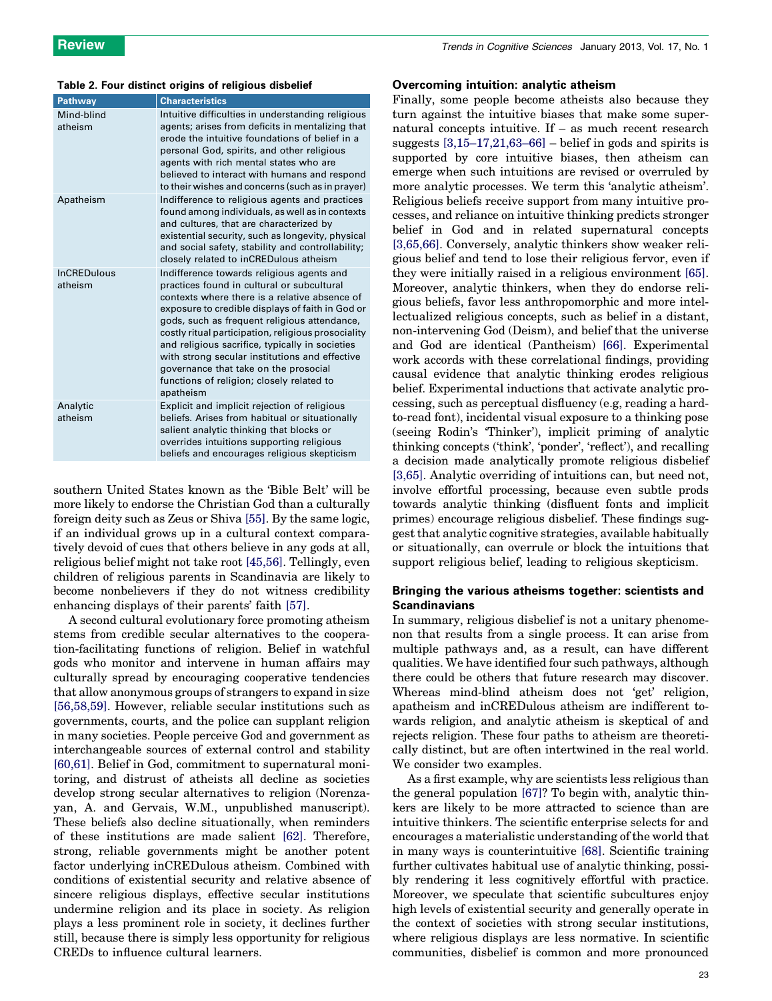| <b>Pathway</b>                | <b>Characteristics</b>                                                                                                                                                                                                                                                                                                                                                                                                                                                                                      |
|-------------------------------|-------------------------------------------------------------------------------------------------------------------------------------------------------------------------------------------------------------------------------------------------------------------------------------------------------------------------------------------------------------------------------------------------------------------------------------------------------------------------------------------------------------|
| Mind-blind<br>atheism         | Intuitive difficulties in understanding religious<br>agents; arises from deficits in mentalizing that<br>erode the intuitive foundations of belief in a<br>personal God, spirits, and other religious<br>agents with rich mental states who are<br>believed to interact with humans and respond<br>to their wishes and concerns (such as in prayer)                                                                                                                                                         |
| Apatheism                     | Indifference to religious agents and practices<br>found among individuals, as well as in contexts<br>and cultures, that are characterized by<br>existential security, such as longevity, physical<br>and social safety, stability and controllability;<br>closely related to inCREDulous atheism                                                                                                                                                                                                            |
| <b>InCREDulous</b><br>atheism | Indifference towards religious agents and<br>practices found in cultural or subcultural<br>contexts where there is a relative absence of<br>exposure to credible displays of faith in God or<br>gods, such as frequent religious attendance,<br>costly ritual participation, religious prosociality<br>and religious sacrifice, typically in societies<br>with strong secular institutions and effective<br>governance that take on the prosocial<br>functions of religion; closely related to<br>apatheism |
| Analytic<br>atheism           | Explicit and implicit rejection of religious<br>beliefs. Arises from habitual or situationally<br>salient analytic thinking that blocks or<br>overrides intuitions supporting religious<br>beliefs and encourages religious skepticism                                                                                                                                                                                                                                                                      |

<span id="page-3-0"></span>Table 2. Four distinct origins of religious disbelief

southern United States known as the 'Bible Belt' will be more likely to endorse the Christian God than a culturally foreign deity such as Zeus or Shiva [\[55\].](#page-5-0) By the same logic, if an individual grows up in a cultural context comparatively devoid of cues that others believe in any gods at all, religious belief might not take root [\[45,56\].](#page-5-0) Tellingly, even children of religious parents in Scandinavia are likely to become nonbelievers if they do not witness credibility enhancing displays of their parents' faith [\[57\]](#page-5-0).

A second cultural evolutionary force promoting atheism stems from credible secular alternatives to the cooperation-facilitating functions of religion. Belief in watchful gods who monitor and intervene in human affairs may culturally spread by encouraging cooperative tendencies that allow anonymous groups of strangers to expand in size [\[56,58,59\]](#page-5-0). However, reliable secular institutions such as governments, courts, and the police can supplant religion in many societies. People perceive God and government as interchangeable sources of external control and stability [\[60,61\]](#page-5-0). Belief in God, commitment to supernatural monitoring, and distrust of atheists all decline as societies develop strong secular alternatives to religion (Norenzayan, A. and Gervais, W.M., unpublished manuscript). These beliefs also decline situationally, when reminders of these institutions are made salient [\[62\].](#page-5-0) Therefore, strong, reliable governments might be another potent factor underlying inCREDulous atheism. Combined with conditions of existential security and relative absence of sincere religious displays, effective secular institutions undermine religion and its place in society. As religion plays a less prominent role in society, it declines further still, because there is simply less opportunity for religious CREDs to influence cultural learners.

#### Overcoming intuition: analytic atheism

Finally, some people become atheists also because they turn against the intuitive biases that make some supernatural concepts intuitive. If – as much recent research suggests  $[3,15-17,21,63-66]$  – belief in gods and spirits is supported by core intuitive biases, then atheism can emerge when such intuitions are revised or overruled by more analytic processes. We term this 'analytic atheism'. Religious beliefs receive support from many intuitive processes, and reliance on intuitive thinking predicts stronger belief in God and in related supernatural concepts [\[3,65,66\].](#page-4-0) Conversely, analytic thinkers show weaker religious belief and tend to lose their religious fervor, even if they were initially raised in a religious environment [\[65\]](#page-5-0). Moreover, analytic thinkers, when they do endorse religious beliefs, favor less anthropomorphic and more intellectualized religious concepts, such as belief in a distant, non-intervening God (Deism), and belief that the universe and God are identical (Pantheism) [\[66\].](#page-5-0) Experimental work accords with these correlational findings, providing causal evidence that analytic thinking erodes religious belief. Experimental inductions that activate analytic processing, such as perceptual disfluency (e.g, reading a hardto-read font), incidental visual exposure to a thinking pose (seeing Rodin's 'Thinker'), implicit priming of analytic thinking concepts ('think', 'ponder', 'reflect'), and recalling a decision made analytically promote religious disbelief [\[3,65\].](#page-4-0) Analytic overriding of intuitions can, but need not, involve effortful processing, because even subtle prods towards analytic thinking (disfluent fonts and implicit primes) encourage religious disbelief. These findings suggest that analytic cognitive strategies, available habitually or situationally, can overrule or block the intuitions that support religious belief, leading to religious skepticism.

# Bringing the various atheisms together: scientists and Scandinavians

In summary, religious disbelief is not a unitary phenomenon that results from a single process. It can arise from multiple pathways and, as a result, can have different qualities. We have identified four such pathways, although there could be others that future research may discover. Whereas mind-blind atheism does not 'get' religion, apatheism and inCREDulous atheism are indifferent towards religion, and analytic atheism is skeptical of and rejects religion. These four paths to atheism are theoretically distinct, but are often intertwined in the real world. We consider two examples.

As a first example, why are scientists less religious than the general population [\[67\]](#page-5-0)? To begin with, analytic thinkers are likely to be more attracted to science than are intuitive thinkers. The scientific enterprise selects for and encourages a materialistic understanding of the world that in many ways is counterintuitive [\[68\].](#page-5-0) Scientific training further cultivates habitual use of analytic thinking, possibly rendering it less cognitively effortful with practice. Moreover, we speculate that scientific subcultures enjoy high levels of existential security and generally operate in the context of societies with strong secular institutions, where religious displays are less normative. In scientific communities, disbelief is common and more pronounced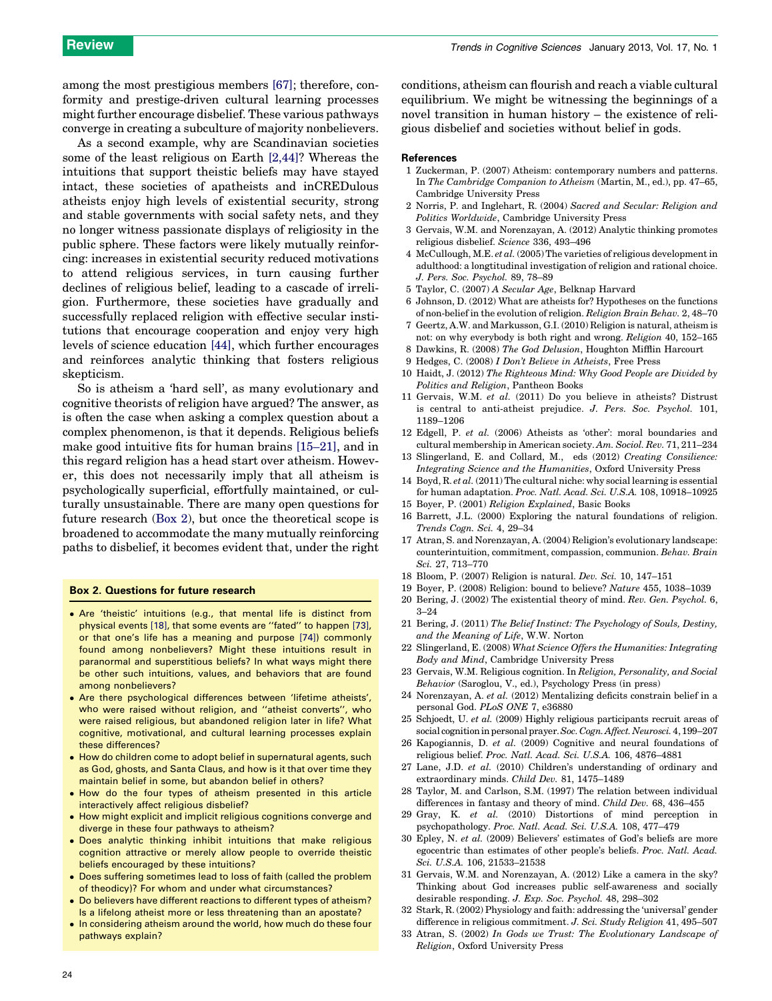<span id="page-4-0"></span>among the most prestigious members [\[67\];](#page-5-0) therefore, conformity and prestige-driven cultural learning processes might further encourage disbelief. These various pathways converge in creating a subculture of majority nonbelievers.

As a second example, why are Scandinavian societies some of the least religious on Earth [2,44]? Whereas the intuitions that support theistic beliefs may have stayed intact, these societies of apatheists and inCREDulous atheists enjoy high levels of existential security, strong and stable governments with social safety nets, and they no longer witness passionate displays of religiosity in the public sphere. These factors were likely mutually reinforcing: increases in existential security reduced motivations to attend religious services, in turn causing further declines of religious belief, leading to a cascade of irreligion. Furthermore, these societies have gradually and successfully replaced religion with effective secular institutions that encourage cooperation and enjoy very high levels of science education [\[44\],](#page-5-0) which further encourages and reinforces analytic thinking that fosters religious skepticism.

So is atheism a 'hard sell', as many evolutionary and cognitive theorists of religion have argued? The answer, as is often the case when asking a complex question about a complex phenomenon, is that it depends. Religious beliefs make good intuitive fits for human brains [15–21], and in this regard religion has a head start over atheism. However, this does not necessarily imply that all atheism is psychologically superficial, effortfully maintained, or culturally unsustainable. There are many open questions for future research (Box 2), but once the theoretical scope is broadened to accommodate the many mutually reinforcing paths to disbelief, it becomes evident that, under the right

#### Box 2. Questions for future research

- Are 'theistic' intuitions (e.g., that mental life is distinct from physical events [18], that some events are ''fated'' to happen [\[73\],](#page-5-0) or that one's life has a meaning and purpose [\[74\]\)](#page-5-0) commonly found among nonbelievers? Might these intuitions result in paranormal and superstitious beliefs? In what ways might there be other such intuitions, values, and behaviors that are found among nonbelievers?
- Are there psychological differences between 'lifetime atheists', who were raised without religion, and "atheist converts", who were raised religious, but abandoned religion later in life? What cognitive, motivational, and cultural learning processes explain these differences?
- $\bullet\,$  How do children come to adopt belief in supernatural agents, such as God, ghosts, and Santa Claus, and how is it that over time they maintain belief in some, but abandon belief in others?
- How do the four types of atheism presented in this article interactively affect religious disbelief?
- How might explicit and implicit religious cognitions converge and diverge in these four pathways to atheism?
- Does analytic thinking inhibit intuitions that make religious cognition attractive or merely allow people to override theistic beliefs encouraged by these intuitions?
- Does suffering sometimes lead to loss of faith (called the problem of theodicy)? For whom and under what circumstances?
- Do believers have different reactions to different types of atheism? Is a lifelong atheist more or less threatening than an apostate?
- In considering atheism around the world, how much do these four pathways explain?

conditions, atheism can flourish and reach a viable cultural equilibrium. We might be witnessing the beginnings of a novel transition in human history – the existence of religious disbelief and societies without belief in gods.

#### **References**

- 1 Zuckerman, P. (2007) Atheism: contemporary numbers and patterns. In The Cambridge Companion to Atheism (Martin, M., ed.), pp. 47–65, Cambridge University Press
- 2 Norris, P. and Inglehart, R. (2004) Sacred and Secular: Religion and Politics Worldwide, Cambridge University Press
- 3 Gervais, W.M. and Norenzayan, A. (2012) Analytic thinking promotes religious disbelief. Science 336, 493–496
- 4 McCullough, M.E. et al. (2005) The varieties of religious development in adulthood: a longtitudinal investigation of religion and rational choice. J. Pers. Soc. Psychol. 89, 78–89
- 5 Taylor, C. (2007) A Secular Age, Belknap Harvard
- 6 Johnson, D. (2012) What are atheists for? Hypotheses on the functions of non-belief in the evolution of religion. Religion Brain Behav. 2, 48–70
- 7 Geertz, A.W. and Markusson, G.I. (2010) Religion is natural, atheism is not: on why everybody is both right and wrong. Religion 40, 152–165
- 8 Dawkins, R. (2008) The God Delusion, Houghton Mifflin Harcourt
- 9 Hedges, C. (2008) I Don't Believe in Atheists, Free Press
- 10 Haidt, J. (2012) The Righteous Mind: Why Good People are Divided by Politics and Religion, Pantheon Books
- 11 Gervais, W.M. et al. (2011) Do you believe in atheists? Distrust is central to anti-atheist prejudice. J. Pers. Soc. Psychol. 101, 1189–1206
- 12 Edgell, P. et al. (2006) Atheists as 'other': moral boundaries and cultural membership in American society. Am. Sociol. Rev. 71, 211–234
- 13 Slingerland, E. and Collard, M., eds (2012) Creating Consilience: Integrating Science and the Humanities, Oxford University Press
- 14 Boyd, R. et al. (2011) The cultural niche: why social learning is essential for human adaptation. Proc. Natl. Acad. Sci. U.S.A. 108, 10918–10925 15 Boyer, P. (2001) Religion Explained, Basic Books
- 16 Barrett, J.L. (2000) Exploring the natural foundations of religion. Trends Cogn. Sci. 4, 29–34
- 17 Atran, S. and Norenzayan, A. (2004) Religion's evolutionary landscape: counterintuition, commitment, compassion, communion. Behav. Brain Sci. 27, 713–770
- 18 Bloom, P. (2007) Religion is natural. Dev. Sci. 10, 147–151
- 19 Boyer, P. (2008) Religion: bound to believe? Nature 455, 1038–1039
- 20 Bering, J. (2002) The existential theory of mind. Rev. Gen. Psychol. 6, 3–24
- 21 Bering, J. (2011) The Belief Instinct: The Psychology of Souls, Destiny, and the Meaning of Life, W.W. Norton
- 22 Slingerland, E. (2008) What Science Offers the Humanities: Integrating Body and Mind, Cambridge University Press
- 23 Gervais, W.M. Religious cognition. In Religion, Personality, and Social Behavior (Saroglou, V., ed.), Psychology Press (in press)
- 24 Norenzayan, A. et al. (2012) Mentalizing deficits constrain belief in a personal God. PLoS ONE 7, e36880
- 25 Schjoedt, U. et al. (2009) Highly religious participants recruit areas of social cognition in personal prayer. Soc. Cogn. Affect. Neurosci. 4, 199-207
- 26 Kapogiannis, D. et al. (2009) Cognitive and neural foundations of religious belief. Proc. Natl. Acad. Sci. U.S.A. 106, 4876–4881
- 27 Lane, J.D. et al. (2010) Children's understanding of ordinary and extraordinary minds. Child Dev. 81, 1475–1489
- 28 Taylor, M. and Carlson, S.M. (1997) The relation between individual differences in fantasy and theory of mind. Child Dev. 68, 436–455
- 29 Gray, K. et al. (2010) Distortions of mind perception in psychopathology. Proc. Natl. Acad. Sci. U.S.A. 108, 477–479
- 30 Epley, N. et al. (2009) Believers' estimates of God's beliefs are more egocentric than estimates of other people's beliefs. Proc. Natl. Acad. Sci. U.S.A. 106, 21533–21538
- 31 Gervais, W.M. and Norenzayan, A. (2012) Like a camera in the sky? Thinking about God increases public self-awareness and socially desirable responding. J. Exp. Soc. Psychol. 48, 298–302
- 32 Stark, R. (2002) Physiology and faith: addressing the 'universal' gender difference in religious commitment. J. Sci. Study Religion 41, 495–507
- 33 Atran, S. (2002) In Gods we Trust: The Evolutionary Landscape of Religion, Oxford University Press